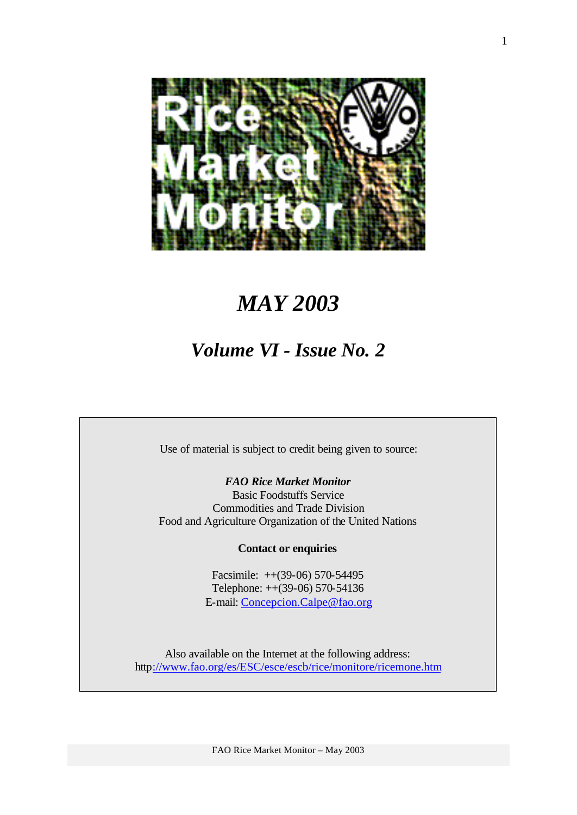

# *MAY 2003*

# *Volume VI - Issue No. 2*

Use of material is subject to credit being given to source:

*FAO Rice Market Monitor*

Basic Foodstuffs Service Commodities and Trade Division Food and Agriculture Organization of the United Nations

**Contact or enquiries**

Facsimile: ++(39-06) 570-54495 Telephone: ++(39-06) 570-54136 E-mail: Concepcion.Calpe@fao.org

Also available on the Internet at the following address: http://www.fao.org/es/ESC/esce/escb/rice/monitore/ricemone.htm

FAO Rice Market Monitor – May 2003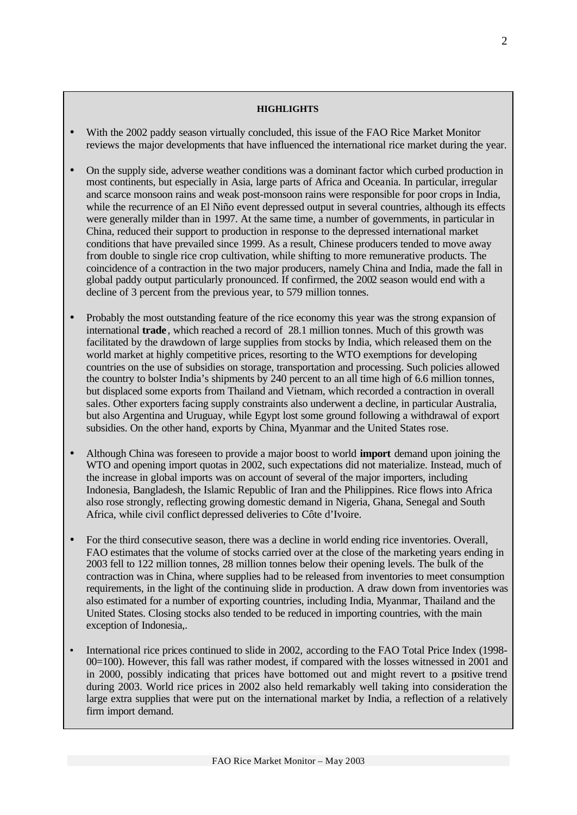#### **HIGHLIGHTS**

- With the 2002 paddy season virtually concluded, this issue of the FAO Rice Market Monitor reviews the major developments that have influenced the international rice market during the year.
- On the supply side, adverse weather conditions was a dominant factor which curbed production in most continents, but especially in Asia, large parts of Africa and Oceania. In particular, irregular and scarce monsoon rains and weak post-monsoon rains were responsible for poor crops in India, while the recurrence of an El Niño event depressed output in several countries, although its effects were generally milder than in 1997. At the same time, a number of governments, in particular in China, reduced their support to production in response to the depressed international market conditions that have prevailed since 1999. As a result, Chinese producers tended to move away from double to single rice crop cultivation, while shifting to more remunerative products. The coincidence of a contraction in the two major producers, namely China and India, made the fall in global paddy output particularly pronounced. If confirmed, the 2002 season would end with a decline of 3 percent from the previous year, to 579 million tonnes.
- Probably the most outstanding feature of the rice economy this year was the strong expansion of international **trade** , which reached a record of 28.1 million tonnes. Much of this growth was facilitated by the drawdown of large supplies from stocks by India, which released them on the world market at highly competitive prices, resorting to the WTO exemptions for developing countries on the use of subsidies on storage, transportation and processing. Such policies allowed the country to bolster India's shipments by 240 percent to an all time high of 6.6 million tonnes, but displaced some exports from Thailand and Vietnam, which recorded a contraction in overall sales. Other exporters facing supply constraints also underwent a decline, in particular Australia, but also Argentina and Uruguay, while Egypt lost some ground following a withdrawal of export subsidies. On the other hand, exports by China, Myanmar and the United States rose.
- Although China was foreseen to provide a major boost to world **import** demand upon joining the WTO and opening import quotas in 2002, such expectations did not materialize. Instead, much of the increase in global imports was on account of several of the major importers, including Indonesia, Bangladesh, the Islamic Republic of Iran and the Philippines. Rice flows into Africa also rose strongly, reflecting growing domestic demand in Nigeria, Ghana, Senegal and South Africa, while civil conflict depressed deliveries to Côte d'Ivoire.
- For the third consecutive season, there was a decline in world ending rice inventories. Overall, FAO estimates that the volume of stocks carried over at the close of the marketing years ending in 2003 fell to 122 million tonnes, 28 million tonnes below their opening levels. The bulk of the contraction was in China, where supplies had to be released from inventories to meet consumption requirements, in the light of the continuing slide in production. A draw down from inventories was also estimated for a number of exporting countries, including India, Myanmar, Thailand and the United States. Closing stocks also tended to be reduced in importing countries, with the main exception of Indonesia,.
- International rice prices continued to slide in 2002, according to the FAO Total Price Index (1998- 00=100). However, this fall was rather modest, if compared with the losses witnessed in 2001 and in 2000, possibly indicating that prices have bottomed out and might revert to a positive trend during 2003. World rice prices in 2002 also held remarkably well taking into consideration the large extra supplies that were put on the international market by India, a reflection of a relatively firm import demand.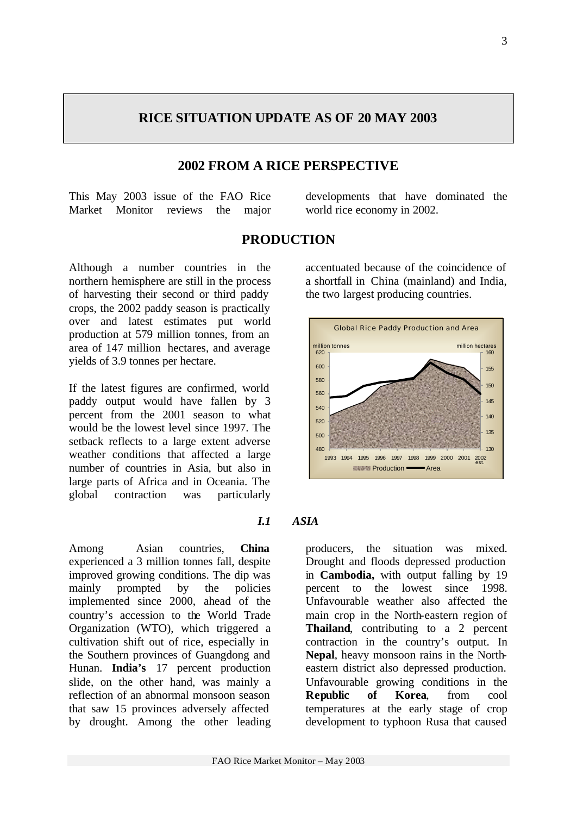### **RICE SITUATION UPDATE AS OF 20 MAY 2003**

#### **2002 FROM A RICE PERSPECTIVE**

This May 2003 issue of the FAO Rice Market Monitor reviews the major developments that have dominated the world rice economy in 2002.

#### **PRODUCTION**

Although a number countries in the northern hemisphere are still in the process of harvesting their second or third paddy crops, the 2002 paddy season is practically over and latest estimates put world production at 579 million tonnes, from an area of 147 million hectares, and average yields of 3.9 tonnes per hectare.

If the latest figures are confirmed, world paddy output would have fallen by 3 percent from the 2001 season to what would be the lowest level since 1997. The setback reflects to a large extent adverse weather conditions that affected a large number of countries in Asia, but also in large parts of Africa and in Oceania. The global contraction was particularly

Among Asian countries, **China** experienced a 3 million tonnes fall, despite improved growing conditions. The dip was mainly prompted by the policies implemented since 2000, ahead of the country's accession to the World Trade Organization (WTO), which triggered a cultivation shift out of rice, especially in the Southern provinces of Guangdong and Hunan. **India's** 17 percent production slide, on the other hand, was mainly a reflection of an abnormal monsoon season that saw 15 provinces adversely affected by drought. Among the other leading

*I.1 ASIA*

producers, the situation was mixed. Drought and floods depressed production in **Cambodia,** with output falling by 19 percent to the lowest since 1998. Unfavourable weather also affected the main crop in the North-eastern region of **Thailand**, contributing to a 2 percent contraction in the country's output. In **Nepal**, heavy monsoon rains in the Northeastern district also depressed production. Unfavourable growing conditions in the **Republic of Korea**, from cool temperatures at the early stage of crop development to typhoon Rusa that caused

## accentuated because of the coincidence of a shortfall in China (mainland) and India, the two largest producing countries.

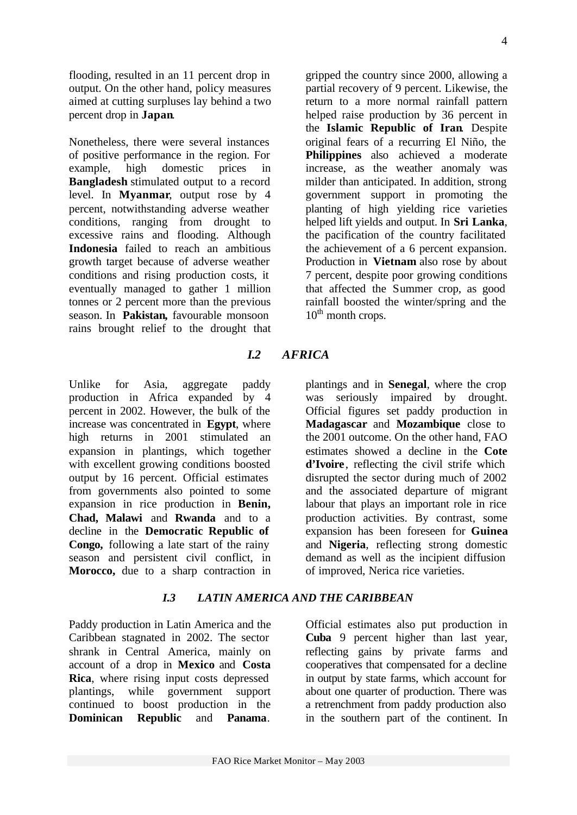flooding, resulted in an 11 percent drop in output. On the other hand, policy measures aimed at cutting surpluses lay behind a two percent drop in **Japan**.

Nonetheless, there were several instances of positive performance in the region. For example, high domestic prices in **Bangladesh** stimulated output to a record level. In **Myanmar**, output rose by 4 percent, notwithstanding adverse weather conditions, ranging from drought to excessive rains and flooding. Although **Indonesia** failed to reach an ambitious growth target because of adverse weather conditions and rising production costs, it eventually managed to gather 1 million tonnes or 2 percent more than the previous season. In **Pakistan,** favourable monsoon rains brought relief to the drought that gripped the country since 2000, allowing a partial recovery of 9 percent. Likewise, the return to a more normal rainfall pattern helped raise production by 36 percent in the **Islamic Republic of Iran**. Despite original fears of a recurring El Niño, the **Philippines** also achieved a moderate increase, as the weather anomaly was milder than anticipated. In addition, strong government support in promoting the planting of high yielding rice varieties helped lift yields and output. In **Sri Lanka**, the pacification of the country facilitated the achievement of a 6 percent expansion. Production in **Vietnam** also rose by about 7 percent, despite poor growing conditions that affected the Summer crop, as good rainfall boosted the winter/spring and the  $10<sup>th</sup>$  month crops.

### *I.2 AFRICA*

Unlike for Asia, aggregate paddy production in Africa expanded by 4 percent in 2002. However, the bulk of the increase was concentrated in **Egypt**, where high returns in 2001 stimulated an expansion in plantings, which together with excellent growing conditions boosted output by 16 percent. Official estimates from governments also pointed to some expansion in rice production in **Benin, Chad, Malawi** and **Rwanda** and to a decline in the **Democratic Republic of Congo,** following a late start of the rainy season and persistent civil conflict, in **Morocco,** due to a sharp contraction in

#### *I.3 LATIN AMERICA AND THE CARIBBEAN*

Paddy production in Latin America and the Caribbean stagnated in 2002. The sector shrank in Central America, mainly on account of a drop in **Mexico** and **Costa Rica**, where rising input costs depressed plantings, while government support continued to boost production in the **Dominican Republic** and **Panama**.

plantings and in **Senegal**, where the crop was seriously impaired by drought. Official figures set paddy production in **Madagascar** and **Mozambique** close to the 2001 outcome. On the other hand, FAO estimates showed a decline in the **Cote d'Ivoire**, reflecting the civil strife which disrupted the sector during much of 2002 and the associated departure of migrant labour that plays an important role in rice production activities. By contrast, some expansion has been foreseen for **Guinea** and **Nigeria**, reflecting strong domestic demand as well as the incipient diffusion of improved, Nerica rice varieties.

Official estimates also put production in **Cuba** 9 percent higher than last year, reflecting gains by private farms and cooperatives that compensated for a decline in output by state farms, which account for about one quarter of production. There was a retrenchment from paddy production also in the southern part of the continent. In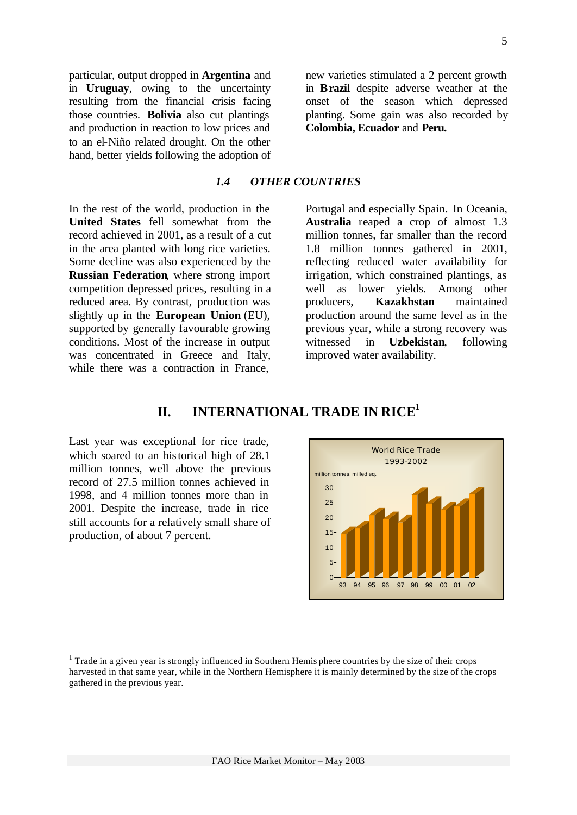particular, output dropped in **Argentina** and in **Uruguay**, owing to the uncertainty resulting from the financial crisis facing those countries. **Bolivia** also cut plantings and production in reaction to low prices and to an el-Niño related drought. On the other hand, better yields following the adoption of new varieties stimulated a 2 percent growth in **Brazil** despite adverse weather at the onset of the season which depressed planting. Some gain was also recorded by **Colombia, Ecuador** and **Peru.**

#### *1.4 OTHER COUNTRIES*

In the rest of the world, production in the **United States** fell somewhat from the record achieved in 2001, as a result of a cut in the area planted with long rice varieties. Some decline was also experienced by the **Russian Federation**, where strong import competition depressed prices, resulting in a reduced area. By contrast, production was slightly up in the **European Union** (EU), supported by generally favourable growing conditions. Most of the increase in output was concentrated in Greece and Italy, while there was a contraction in France.

Portugal and especially Spain. In Oceania, **Australia** reaped a crop of almost 1.3 million tonnes, far smaller than the record 1.8 million tonnes gathered in 2001, reflecting reduced water availability for irrigation, which constrained plantings, as well as lower yields. Among other producers, **Kazakhstan** maintained production around the same level as in the previous year, while a strong recovery was witnessed in **Uzbekistan**, following improved water availability.

### **II. INTERNATIONAL TRADE IN RICE<sup>1</sup>**

Last year was exceptional for rice trade, which soared to an historical high of 28.1 million tonnes, well above the previous record of 27.5 million tonnes achieved in 1998, and 4 million tonnes more than in 2001. Despite the increase, trade in rice still accounts for a relatively small share of production, of about 7 percent.

l



 $<sup>1</sup>$  Trade in a given year is strongly influenced in Southern Hemis phere countries by the size of their crops</sup> harvested in that same year, while in the Northern Hemisphere it is mainly determined by the size of the crops gathered in the previous year.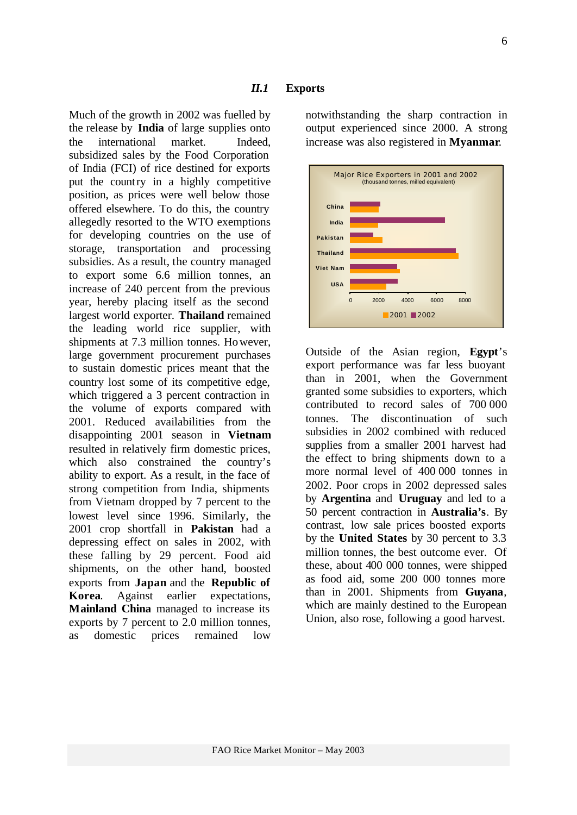#### *II.1* **Exports**

Much of the growth in 2002 was fuelled by the release by **India** of large supplies onto the international market. Indeed, subsidized sales by the Food Corporation of India (FCI) of rice destined for exports put the country in a highly competitive position, as prices were well below those offered elsewhere. To do this, the country allegedly resorted to the WTO exemptions for developing countries on the use of storage, transportation and processing subsidies. As a result, the country managed to export some 6.6 million tonnes, an increase of 240 percent from the previous year, hereby placing itself as the second largest world exporter. **Thailand** remained the leading world rice supplier, with shipments at 7.3 million tonnes. However, large government procurement purchases to sustain domestic prices meant that the country lost some of its competitive edge, which triggered a 3 percent contraction in the volume of exports compared with 2001. Reduced availabilities from the disappointing 2001 season in **Vietnam** resulted in relatively firm domestic prices, which also constrained the country's ability to export. As a result, in the face of strong competition from India, shipments from Vietnam dropped by 7 percent to the lowest level since 1996. Similarly, the 2001 crop shortfall in **Pakistan** had a depressing effect on sales in 2002, with these falling by 29 percent. Food aid shipments, on the other hand, boosted exports from **Japan** and the **Republic of Korea**. Against earlier expectations, **Mainland China** managed to increase its exports by 7 percent to 2.0 million tonnes, as domestic prices remained low

notwithstanding the sharp contraction in output experienced since 2000. A strong increase was also registered in **Myanmar**.



Outside of the Asian region, **Egypt**'s export performance was far less buoyant than in 2001, when the Government granted some subsidies to exporters, which contributed to record sales of 700 000 tonnes. The discontinuation of such subsidies in 2002 combined with reduced supplies from a smaller 2001 harvest had the effect to bring shipments down to a more normal level of 400 000 tonnes in 2002. Poor crops in 2002 depressed sales by **Argentina** and **Uruguay** and led to a 50 percent contraction in **Australia's**. By contrast, low sale prices boosted exports by the **United States** by 30 percent to 3.3 million tonnes, the best outcome ever. Of these, about 400 000 tonnes, were shipped as food aid, some 200 000 tonnes more than in 2001. Shipments from **Guyana**, which are mainly destined to the European Union, also rose, following a good harvest.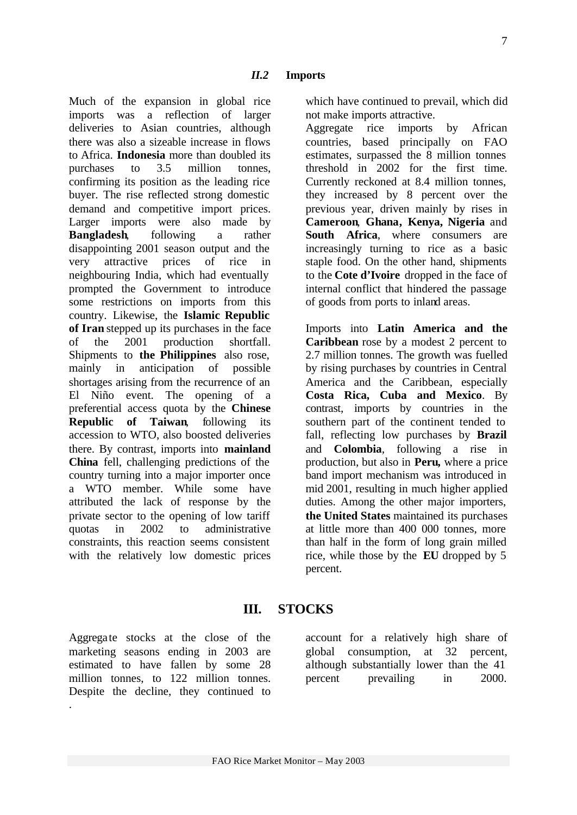Much of the expansion in global rice imports was a reflection of larger deliveries to Asian countries, although there was also a sizeable increase in flows to Africa. **Indonesia** more than doubled its purchases to 3.5 million tonnes, confirming its position as the leading rice buyer. The rise reflected strong domestic demand and competitive import prices. Larger imports were also made by **Bangladesh**, following a rather disappointing 2001 season output and the very attractive prices of rice in neighbouring India, which had eventually prompted the Government to introduce some restrictions on imports from this country. Likewise, the **Islamic Republic of Iran** stepped up its purchases in the face of the 2001 production shortfall. Shipments to **the Philippines** also rose, mainly in anticipation of possible shortages arising from the recurrence of an El Niño event. The opening of a preferential access quota by the **Chinese Republic of Taiwan**, following its accession to WTO, also boosted deliveries there. By contrast, imports into **mainland China** fell, challenging predictions of the country turning into a major importer once a WTO member. While some have attributed the lack of response by the private sector to the opening of low tariff quotas in 2002 to administrative constraints, this reaction seems consistent with the relatively low domestic prices which have continued to prevail, which did not make imports attractive.

Aggregate rice imports by African countries, based principally on FAO estimates, surpassed the 8 million tonnes threshold in 2002 for the first time. Currently reckoned at 8.4 million tonnes, they increased by 8 percent over the previous year, driven mainly by rises in **Cameroon**, **Ghana, Kenya, Nigeria** and **South Africa**, where consumers are increasingly turning to rice as a basic staple food. On the other hand, shipments to the **Cote d'Ivoire** dropped in the face of internal conflict that hindered the passage of goods from ports to inland areas.

Imports into **Latin America and the Caribbean** rose by a modest 2 percent to 2.7 million tonnes. The growth was fuelled by rising purchases by countries in Central America and the Caribbean, especially **Costa Rica, Cuba and Mexico**. By contrast, imports by countries in the southern part of the continent tended to fall, reflecting low purchases by **Brazil** and **Colombia**, following a rise in production, but also in **Peru,** where a price band import mechanism was introduced in mid 2001, resulting in much higher applied duties. Among the other major importers, **the United States** maintained its purchases at little more than 400 000 tonnes, more than half in the form of long grain milled rice, while those by the **EU** dropped by 5 percent.

#### **III. STOCKS**

Aggregate stocks at the close of the marketing seasons ending in 2003 are estimated to have fallen by some 28 million tonnes, to 122 million tonnes. Despite the decline, they continued to .

account for a relatively high share of global consumption, at 32 percent, although substantially lower than the 41 percent prevailing in 2000.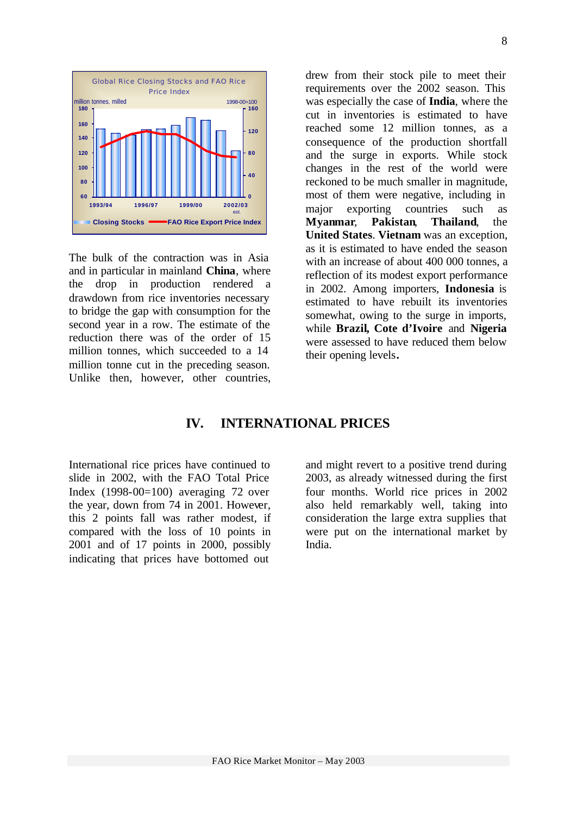

The bulk of the contraction was in Asia and in particular in mainland **China**, where the drop in production rendered a drawdown from rice inventories necessary to bridge the gap with consumption for the second year in a row. The estimate of the reduction there was of the order of 15 million tonnes, which succeeded to a 14 million tonne cut in the preceding season. Unlike then, however, other countries, drew from their stock pile to meet their requirements over the 2002 season. This was especially the case of **India**, where the cut in inventories is estimated to have reached some 12 million tonnes, as a consequence of the production shortfall and the surge in exports. While stock changes in the rest of the world were reckoned to be much smaller in magnitude, most of them were negative, including in major exporting countries such as **Myanmar**, **Pakistan**, **Thailand**, the **United States**. **Vietnam** was an exception, as it is estimated to have ended the season with an increase of about 400 000 tonnes, a reflection of its modest export performance in 2002. Among importers, **Indonesia** is estimated to have rebuilt its inventories somewhat, owing to the surge in imports, while **Brazil, Cote d'Ivoire** and **Nigeria** were assessed to have reduced them below their opening levels**.**

#### **IV. INTERNATIONAL PRICES**

International rice prices have continued to slide in 2002, with the FAO Total Price Index  $(1998-00=100)$  averaging 72 over the year, down from 74 in 2001. However, this 2 points fall was rather modest, if compared with the loss of 10 points in 2001 and of 17 points in 2000, possibly indicating that prices have bottomed out

and might revert to a positive trend during 2003, as already witnessed during the first four months. World rice prices in 2002 also held remarkably well, taking into consideration the large extra supplies that were put on the international market by India.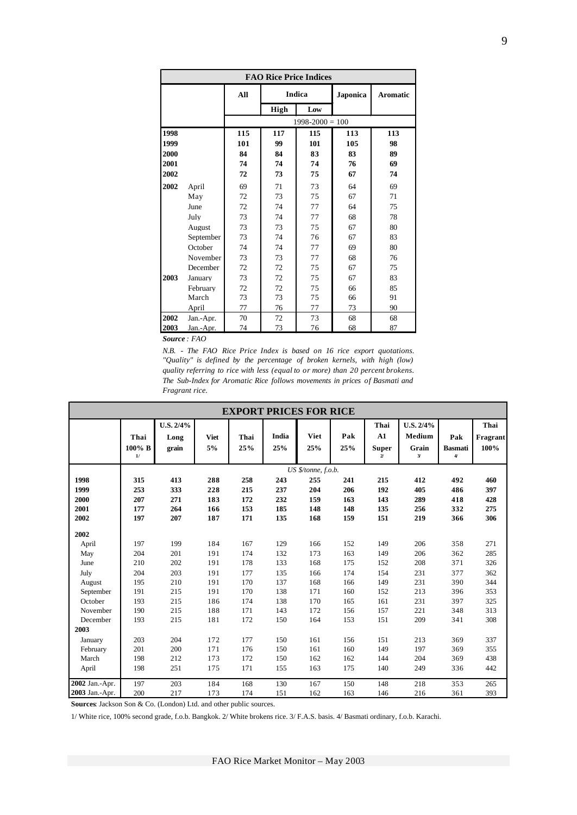| <b>FAO Rice Price Indices</b> |           |                |                |                     |                |                 |  |  |  |
|-------------------------------|-----------|----------------|----------------|---------------------|----------------|-----------------|--|--|--|
|                               |           | All            |                | Indica              | Japonica       | <b>Aromatic</b> |  |  |  |
|                               |           |                | <b>High</b>    | Low                 |                |                 |  |  |  |
|                               |           |                |                | $1998 - 2000 = 100$ |                |                 |  |  |  |
| 1998<br>1999                  |           | 115<br>101     | 117<br>99      | 115<br>101          | 113<br>105     | 113<br>98       |  |  |  |
| 2000<br>2001<br>2002          |           | 84<br>74<br>72 | 84<br>74<br>73 | 83<br>74<br>75      | 83<br>76<br>67 | 89<br>69<br>74  |  |  |  |
| 2002                          | April     | 69             | 71             | 73                  | 64             | 69              |  |  |  |
|                               | May       | 72             | 73             | 75                  | 67             | 71              |  |  |  |
|                               | June      | 72             | 74             | 77                  | 64             | 75              |  |  |  |
|                               | July      | 73             | 74             | 77                  | 68             | 78              |  |  |  |
|                               | August    | 73             | 73             | 75                  | 67             | 80              |  |  |  |
|                               | September | 73             | 74             | 76                  | 67             | 83              |  |  |  |
|                               | October   | 74             | 74             | 77                  | 69             | 80              |  |  |  |
|                               | November  | 73             | 73             | 77                  | 68             | 76              |  |  |  |
|                               | December  | 72             | 72             | 75                  | 67             | 75              |  |  |  |
| 2003                          | Januarv   | 73             | 72             | 75                  | 67             | 83              |  |  |  |
|                               | February  | 72             | 72             | 75                  | 66             | 85              |  |  |  |
|                               | March     | 73             | 73             | 75                  | 66             | 91              |  |  |  |
|                               | April     | 77             | 76             | 77                  | 73             | 90              |  |  |  |
| 2002                          | Jan.-Apr. | 70             | 72             | 73                  | 68             | 68              |  |  |  |
| 2003                          | Jan.-Apr. | 74             | 73             | 76                  | 68             | 87              |  |  |  |

*N.B. - The FAO Rice Price Index is based on 16 rice export quotations. "Quality" is defined by the percentage of broken kernels, with high (low) quality referring to rice with less (equal to or more) than 20 percent brokens. The Sub-Index for Aromatic Rice follows movements in prices of Basmati and Fragrant rice.*

| <b>EXPORT PRICES FOR RICE</b> |                      |                            |                   |             |              |                     |            |                                                          |                                              |                                           |                          |
|-------------------------------|----------------------|----------------------------|-------------------|-------------|--------------|---------------------|------------|----------------------------------------------------------|----------------------------------------------|-------------------------------------------|--------------------------|
|                               | Thai<br>100% B<br>1/ | U.S. 2/4%<br>Long<br>grain | <b>Viet</b><br>5% | Thai<br>25% | India<br>25% | <b>Viet</b><br>25%  | Pak<br>25% | Thai<br>A1<br><b>Super</b><br>$\boldsymbol{\mathcal{U}}$ | U.S. 2/4%<br>Medium<br>Grain<br>$\mathbf{3}$ | Pak<br><b>Basmati</b><br>$\boldsymbol{4}$ | Thai<br>Fragrant<br>100% |
|                               |                      |                            |                   |             |              | US \$/tonne, f.o.b. |            |                                                          |                                              |                                           |                          |
| 1998                          | 315                  | 413                        | 288               | 258         | 243          | 255                 | 241        | 215                                                      | 412                                          | 492                                       | 460                      |
| 1999                          | 253                  | 333                        | 228               | 215         | 237          | 204                 | 206        | 192                                                      | 405                                          | 486                                       | 397                      |
| 2000                          | 207                  | 271                        | 183               | 172         | 232          | 159                 | 163        | 143                                                      | 289                                          | 418                                       | 428                      |
| 2001                          | 177                  | 264                        | 166               | 153         | 185          | 148                 | 148        | 135                                                      | 256                                          | 332                                       | 275                      |
| 2002                          | 197                  | 207                        | 187               | 171         | 135          | 168                 | 159        | 151                                                      | 219                                          | 366                                       | 306                      |
| 2002                          |                      |                            |                   |             |              |                     |            |                                                          |                                              |                                           |                          |
| April                         | 197                  | 199                        | 184               | 167         | 129          | 166                 | 152        | 149                                                      | 206                                          | 358                                       | 271                      |
| May                           | 204                  | 201                        | 191               | 174         | 132          | 173                 | 163        | 149                                                      | 206                                          | 362                                       | 285                      |
| June                          | 210                  | 202                        | 191               | 178         | 133          | 168                 | 175        | 152                                                      | 208                                          | 371                                       | 326                      |
| July                          | 204                  | 203                        | 191               | 177         | 135          | 166                 | 174        | 154                                                      | 231                                          | 377                                       | 362                      |
| August                        | 195                  | 210                        | 191               | 170         | 137          | 168                 | 166        | 149                                                      | 231                                          | 390                                       | 344                      |
| September                     | 191                  | 215                        | 191               | 170         | 138          | 171                 | 160        | 152                                                      | 213                                          | 396                                       | 353                      |
| October                       | 193                  | 215                        | 186               | 174         | 138          | 170                 | 165        | 161                                                      | 231                                          | 397                                       | 325                      |
| November                      | 190                  | 215                        | 188               | 171         | 143          | 172                 | 156        | 157                                                      | 221                                          | 348                                       | 313                      |
| December                      | 193                  | 215                        | 181               | 172         | 150          | 164                 | 153        | 151                                                      | 209                                          | 341                                       | 308                      |
| 2003                          |                      |                            |                   |             |              |                     |            |                                                          |                                              |                                           |                          |
| January                       | 203                  | 204                        | 172               | 177         | 150          | 161                 | 156        | 151                                                      | 213                                          | 369                                       | 337                      |
| February                      | 201                  | 200                        | 171               | 176         | 150          | 161                 | 160        | 149                                                      | 197                                          | 369                                       | 355                      |
| March                         | 198                  | 212                        | 173               | 172         | 150          | 162                 | 162        | 144                                                      | 204                                          | 369                                       | 438                      |
| April                         | 198                  | 251                        | 175               | 171         | 155          | 163                 | 175        | 140                                                      | 249                                          | 336                                       | 442                      |
| 2002 Jan.-Apr.                | 197                  | 203                        | 184               | 168         | 130          | 167                 | 150        | 148                                                      | 218                                          | 353                                       | 265                      |
| 2003 Jan.-Apr.                | 200                  | 217                        | 173               | 174         | 151          | 162                 | 163        | 146                                                      | 216                                          | 361                                       | 393                      |

**Sources**: Jackson Son & Co. (London) Ltd. and other public sources.

1/ White rice, 100% second grade, f.o.b. Bangkok. 2/ White brokens rice. 3/ F.A.S. basis. 4/ Basmati ordinary, f.o.b. Karachi.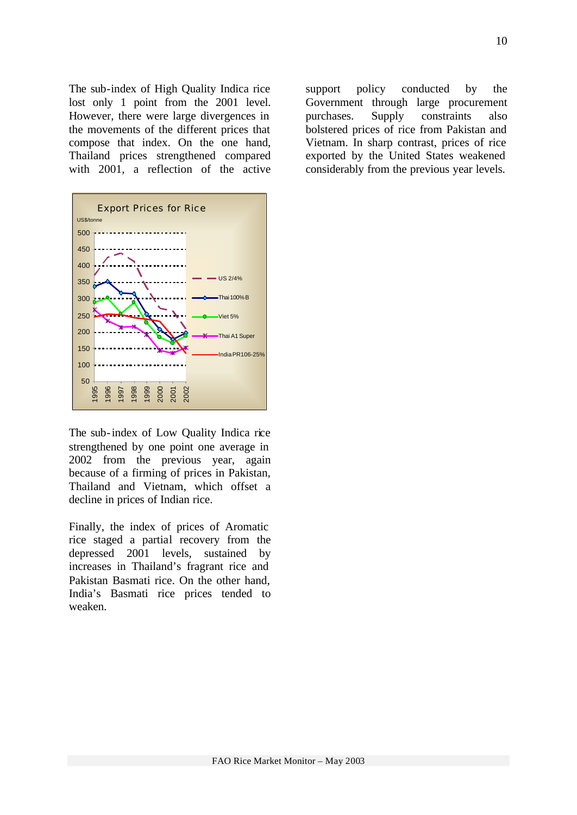The sub-index of High Quality Indica rice lost only 1 point from the 2001 level. However, there were large divergences in the movements of the different prices that compose that index. On the one hand, Thailand prices strengthened compared with 2001, a reflection of the active



The sub-index of Low Quality Indica rice strengthened by one point one average in 2002 from the previous year, again because of a firming of prices in Pakistan, Thailand and Vietnam, which offset a decline in prices of Indian rice.

Finally, the index of prices of Aromatic rice staged a partial recovery from the depressed 2001 levels, sustained by increases in Thailand's fragrant rice and Pakistan Basmati rice. On the other hand, India's Basmati rice prices tended to weaken.

support policy conducted by the Government through large procurement purchases. Supply constraints also bolstered prices of rice from Pakistan and Vietnam. In sharp contrast, prices of rice exported by the United States weakened considerably from the previous year levels.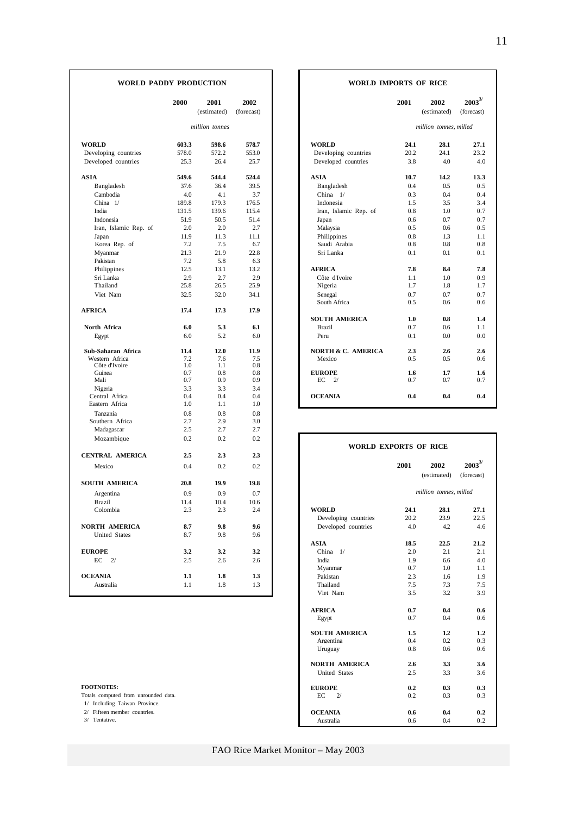|  | WORLD PADDY PRODUCTION |
|--|------------------------|
|  |                        |

|                        | 2000  | 2001           | 2002       |                              | 2001                   | 2002                   | $2003^{3/2}$ |  |
|------------------------|-------|----------------|------------|------------------------------|------------------------|------------------------|--------------|--|
|                        |       | (estimated)    | (forecast) |                              |                        | (estimated)            | (forecast)   |  |
|                        |       | million tonnes |            |                              | million tonnes, milled |                        |              |  |
| <b>WORLD</b>           | 603.3 | 598.6          | 578.7      | <b>WORLD</b>                 | 24.1                   | 28.1                   | 27.1         |  |
| Developing countries   | 578.0 | 572.2          | 553.0      | Developing countries         | 20.2                   | 24.1                   | 23.2         |  |
| Developed countries    | 25.3  | 26.4           | 25.7       | Developed countries          | 3.8                    | 4.0                    | 4.0          |  |
| <b>ASIA</b>            | 549.6 | 544.4          | 524.4      | <b>ASIA</b>                  | 10.7                   | 14.2                   | 13.3         |  |
| Bangladesh             | 37.6  | 36.4           | 39.5       | Bangladesh                   | 0.4                    | 0.5                    | 0.5          |  |
| Cambodia               | 4.0   | 4.1            | 3.7        | China 1/                     | 0.3                    | 0.4                    | 0.4          |  |
| China 1/               | 189.8 | 179.3          | 176.5      | Indonesia                    | 1.5                    | 3.5                    | 3.4          |  |
| India                  | 131.5 | 139.6          | 115.4      | Iran, Islamic Rep. of        | 0.8                    | 1.0                    | 0.7          |  |
| Indonesia              | 51.9  | 50.5           | 51.4       | Japan                        | 0.6                    | 0.7                    | 0.7          |  |
| Iran, Islamic Rep. of  | 2.0   | 2.0            | 2.7        | Malaysia                     | 0.5                    | 0.6                    | 0.5          |  |
| Japan                  | 11.9  | 11.3           | 11.1       | Philippines                  | 0.8                    | 1.3                    | 1.1          |  |
| Korea Rep. of          | 7.2   | 7.5            | 6.7        | Saudi Arabia                 | 0.8                    | 0.8                    | 0.8          |  |
| Myanmar                | 21.3  | 21.9           | 22.8       | Sri Lanka                    | 0.1                    | 0.1                    | 0.1          |  |
| Pakistan               | 7.2   | 5.8            | 6.3        |                              |                        |                        |              |  |
| Philippines            | 12.5  | 13.1           | 13.2       | <b>AFRICA</b>                | 7.8                    | 8.4                    | 7.8          |  |
| Sri Lanka              | 2.9   | 2.7            | 2.9        | Côte d'Ivoire                | 1.1                    | 1.0                    | 0.9          |  |
| Thailand               | 25.8  | 26.5           | 25.9       | Nigeria                      | 1.7                    | 1.8                    | 1.7          |  |
| Viet Nam               | 32.5  | 32.0           | 34.1       | Senegal                      | 0.7                    | 0.7                    | 0.7          |  |
|                        |       |                |            | South Africa                 | 0.5                    | 0.6                    | 0.6          |  |
| <b>AFRICA</b>          | 17.4  | 17.3           | 17.9       |                              |                        |                        |              |  |
|                        |       |                |            | <b>SOUTH AMERICA</b>         | 1.0                    | 0.8                    | 1.4          |  |
| North Africa           | 6.0   | 5.3            | 6.1        | <b>Brazil</b>                | 0.7                    | 0.6                    | 1.1          |  |
| Egypt                  | 6.0   | 5.2            | 6.0        | Peru                         | 0.1                    | 0.0                    | 0.0          |  |
| Sub-Saharan Africa     | 11.4  | 12.0           | 11.9       | NORTH & C. AMERICA           | 2.3                    | 2.6                    | 2.6          |  |
| Western Africa         | 7.2   | 7.6            | 7.5        | Mexico                       | 0.5                    | 0.5                    | 0.6          |  |
| Côte d'Ivoire          | 1.0   | 1.1            | 0.8        |                              |                        |                        |              |  |
| Guinea                 | 0.7   | 0.8            | 0.8        | <b>EUROPE</b>                | 1.6                    | 1.7                    | 1.6          |  |
| Mali                   | 0.7   | 0.9            | 0.9        | EC<br>$\mathbf{2}^{\prime}$  | 0.7                    | 0.7                    | 0.7          |  |
| Nigeria                | 3.3   | 3.3            | 3.4        |                              |                        |                        |              |  |
| Central Africa         | 0.4   | 0.4            | 0.4        | <b>OCEANIA</b>               | 0.4                    | 0.4                    | 0.4          |  |
| Eastern Africa         | 1.0   | 1.1            | 1.0        |                              |                        |                        |              |  |
| Tanzania               | 0.8   | 0.8            | 0.8        |                              |                        |                        |              |  |
| Southern Africa        | 2.7   | 2.9            | 3.0        |                              |                        |                        |              |  |
| Madagascar             | 2.5   | 2.7            | 2.7        |                              |                        |                        |              |  |
| Mozambique             | 0.2   | 0.2            | 0.2        | <b>WORLD EXPORTS OF RICE</b> |                        |                        |              |  |
| <b>CENTRAL AMERICA</b> | 2.5   | 2.3            | 2.3        |                              |                        |                        |              |  |
| Mexico                 | 0.4   | 0.2            | 0.2        |                              | 2001                   | 2002                   | $2003^{3/2}$ |  |
| <b>SOUTH AMERICA</b>   | 20.8  | 19.9           | 19.8       |                              |                        | (estimated)            | (forecast)   |  |
| Argentina              | 0.9   | 0.9            | 0.7        |                              |                        | million tonnes, milled |              |  |
| Brazil                 | 11.4  | 10.4           | 10.6       |                              |                        |                        |              |  |
| Colombia               | 2.3   | 2.3            | 2.4        | <b>WORLD</b>                 | 24.1                   | 28.1                   | 27.1         |  |
|                        |       |                |            | Developing countries         | 20.2                   | 23.9                   | 22.5         |  |
|                        | 8.7   | 9.8            | 9.6        |                              | 4.0                    | 4.2                    |              |  |
| <b>NORTH AMERICA</b>   |       |                |            | Developed countries          |                        |                        | 4.6          |  |
| United States          | 8.7   | 9.8            | 9.6        |                              |                        |                        |              |  |
|                        |       |                |            | <b>ASIA</b>                  | 18.5                   | 22.5                   | 21.2         |  |
| <b>EUROPE</b>          | 3.2   | 3.2            | 3.2        | China $1/$                   | 2.0                    | 2.1                    | 2.1          |  |
| EC<br>2/               | 2.5   | 2.6            | 2.6        | India                        | 1.9                    | 6.6                    | 4.0          |  |
|                        |       |                |            | Myanmar                      | 0.7                    | 1.0                    | 1.1          |  |
| <b>OCEANIA</b>         | 1.1   | 1.8            | 1.3        | Pakistan                     | 2.3                    | 1.6                    | 1.9          |  |
| Australia              | 1.1   | 1.8            | 1.3        | Thailand                     | 7.5                    | 7.3                    | 7.5          |  |
|                        |       |                |            | Viet Nam                     | 35                     | 32                     | 39           |  |

#### **WORLD IMPORTS OF RICE**

|                | 2001<br>(estimated) | 2002<br>(forecast) |                        | 2001       | 2002<br>(estimated) | $2003^{3/2}$<br>(forecast) |
|----------------|---------------------|--------------------|------------------------|------------|---------------------|----------------------------|
| million tonnes |                     |                    | million tonnes, milled |            |                     |                            |
| 598.6          |                     | 578.7              |                        | 24.1       | 28.1                | 27.1                       |
| 572.2          |                     | 553.0              |                        | 20.2       | 24.1                | 23.2                       |
| 26.4           |                     | 25.7               |                        | 3.8        | 4.0                 | 4.0                        |
| 544.4          |                     | 524.4              |                        | 10.7       | 14.2                | 13.3                       |
| 36.4           |                     | 39.5               |                        | 0.4        | 0.5                 | 0.5                        |
| 4.1            |                     | 3.7                |                        | 0.3        | 0.4                 | 0.4                        |
| 179.3          |                     | 176.5              |                        | 1.5        | 3.5                 | 3.4                        |
| 139.6          |                     | 115.4              | Iran, Islamic Rep. of  | 0.8        | 1.0                 | 0.7                        |
| 50.5           |                     | 51.4               |                        | 0.6        | 0.7                 | 0.7                        |
| 2.0            |                     | 2.7                |                        | 0.5        | 0.6                 | 0.5                        |
| 11.3           |                     | 11.1               |                        | 0.8        | 1.3                 | 1.1                        |
| 7.5            |                     | 6.7                |                        | 0.8        | 0.8                 | 0.8                        |
| 21.9           |                     | 22.8               |                        | 0.1        | 0.1                 | 0.1                        |
| 5.8            |                     | 6.3                |                        |            |                     |                            |
| 13.1           |                     | 13.2               |                        | 7.8        | 8.4                 | 7.8                        |
| 2.7            |                     | 2.9                |                        | 1.1        | 1.0                 | 0.9                        |
| 26.5           |                     | 25.9               |                        | 1.7        | 1.8                 | 1.7                        |
| 32.0           |                     | 34.1               |                        | 0.7        | 0.7                 | 0.7                        |
|                |                     |                    |                        | 0.5        | 0.6                 | 0.6                        |
| 17.3           |                     | 17.9               |                        |            |                     |                            |
|                |                     |                    |                        | 1.0        | 0.8                 | 1.4                        |
| 5.3            |                     | 6.1                |                        | 0.7        | 0.6                 | 1.1                        |
| 5.2            |                     | 6.0                |                        | 0.1        | 0.0                 | 0.0                        |
| 12.0           |                     | 11.9               | NORTH & C. AMERICA     | 2.3        | 2.6                 | 2.6                        |
| 7.6            |                     | 7.5                |                        | 0.5        | 0.5                 | 0.6                        |
| 1.1            |                     | 0.8                |                        |            |                     |                            |
| 0.8<br>0.9     |                     | 0.8<br>0.9         |                        | 1.6<br>0.7 | 1.7<br>0.7          | 1.6<br>0.7                 |
| 3.3            |                     | 3.4                |                        |            |                     |                            |
| 0.4            |                     | 0.4                |                        | 0.4        | 0.4                 | 0.4                        |
|                | 1.1                 | 1.0                |                        |            |                     |                            |

| Mozambique                           | 0.2  | 0.2  | 0.2  |                      | <b>WORLD EXPORTS OF RICE</b> |                        |              |
|--------------------------------------|------|------|------|----------------------|------------------------------|------------------------|--------------|
| <b>CENTRAL AMERICA</b>               | 2.5  | 2.3  | 2.3  |                      |                              |                        |              |
| Mexico                               | 0.4  | 0.2  | 0.2  |                      | 2001                         | 2002                   | $2003^{3/2}$ |
|                                      |      |      |      |                      |                              | (estimated)            | (forecast)   |
| <b>SOUTH AMERICA</b>                 | 20.8 | 19.9 | 19.8 |                      |                              |                        |              |
| Argentina                            | 0.9  | 0.9  | 0.7  |                      |                              | million tonnes, milled |              |
| <b>Brazil</b>                        | 11.4 | 10.4 | 10.6 |                      |                              |                        |              |
| Colombia                             | 2.3  | 2.3  | 2.4  | <b>WORLD</b>         | 24.1                         | 28.1                   | 27.1         |
|                                      |      |      |      | Developing countries | 20.2                         | 23.9                   | 22.5         |
| NORTH AMERICA                        | 8.7  | 9.8  | 9.6  | Developed countries  | 4.0                          | 4.2                    | 4.6          |
| <b>United States</b>                 | 8.7  | 9.8  | 9.6  |                      |                              |                        |              |
|                                      |      |      |      | <b>ASIA</b>          | 18.5                         | 22.5                   | 21.2         |
| <b>EUROPE</b>                        | 3.2  | 3.2  | 3.2  | China $1/$           | 2.0                          | 2.1                    | 2.1          |
| $EC$ $2/$                            | 2.5  | 2.6  | 2.6  | India                | 1.9                          | 6.6                    | 4.0          |
|                                      |      |      |      | Myanmar              | 0.7                          | 1.0                    | 1.1          |
| <b>OCEANIA</b>                       | 1.1  | 1.8  | 1.3  | Pakistan             | 2.3                          | 1.6                    | 1.9          |
| Australia                            | 1.1  | 1.8  | 1.3  | Thailand             | 7.5                          | 7.3                    | 7.5          |
|                                      |      |      |      | Viet Nam             | 3.5                          | 3.2                    | 3.9          |
|                                      |      |      |      | <b>AFRICA</b>        | 0.7                          | 0.4                    | 0.6          |
|                                      |      |      |      | Egypt                | 0.7                          | 0.4                    | 0.6          |
|                                      |      |      |      | <b>SOUTH AMERICA</b> | 1.5                          | 1.2                    | 1.2          |
|                                      |      |      |      | Argentina            | 0.4                          | 0.2                    | 0.3          |
|                                      |      |      |      | Uruguay              | 0.8                          | 0.6                    | 0.6          |
|                                      |      |      |      | <b>NORTH AMERICA</b> | 2.6                          | 3.3                    | 3.6          |
|                                      |      |      |      | <b>United States</b> | 2.5                          | 3.3                    | 3.6          |
| <b>FOOTNOTES:</b>                    |      |      |      | <b>EUROPE</b>        | 0.2                          | 0.3                    | 0.3          |
| Totals computed from unrounded data. |      |      |      | EC<br>2/             | 0.2                          | 0.3                    | 0.3          |
| 1/ Including Taiwan Province.        |      |      |      |                      |                              |                        |              |
| 2/ Fifteen member countries.         |      |      |      | <b>OCEANIA</b>       | 0.6                          | 0.4                    | 0.2          |
| 3/ Tentative.                        |      |      |      | Australia            | 0.6                          | 0.4                    | 0.2          |